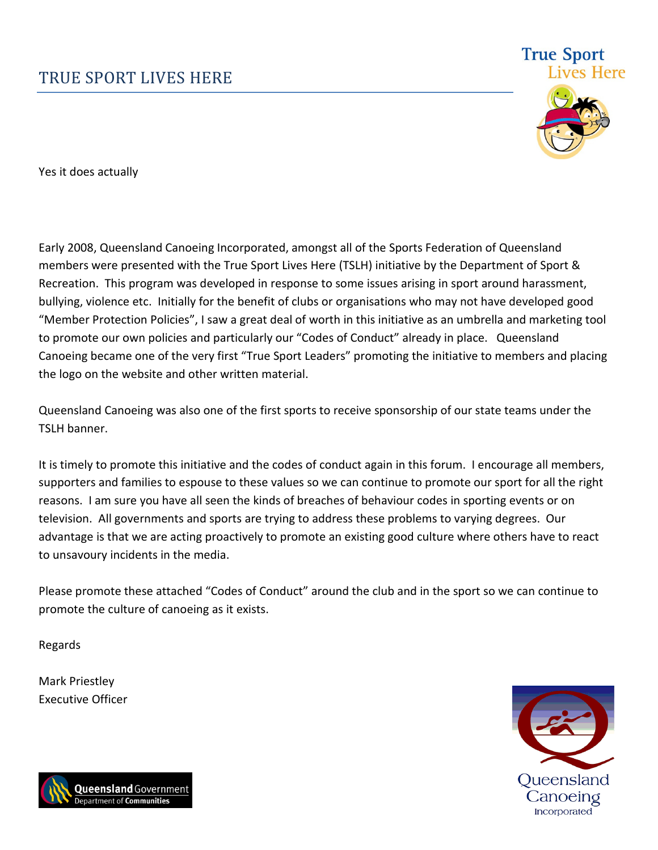

**True Sport** 

Yes it does actually

Early 2008, Queensland Canoeing Incorporated, amongst all of the Sports Federation of Queensland members were presented with the True Sport Lives Here (TSLH) initiative by the Department of Sport & Recreation. This program was developed in response to some issues arising in sport around harassment, bullying, violence etc. Initially for the benefit of clubs or organisations who may not have developed good "Member Protection Policies", I saw a great deal of worth in this initiative as an umbrella and marketing tool to promote our own policies and particularly our "Codes of Conduct" already in place. Queensland Canoeing became one of the very first "True Sport Leaders" promoting the initiative to members and placing the logo on the website and other written material.

Queensland Canoeing was also one of the first sports to receive sponsorship of our state teams under the TSLH banner.

It is timely to promote this initiative and the codes of conduct again in this forum. I encourage all members, supporters and families to espouse to these values so we can continue to promote our sport for all the right reasons. I am sure you have all seen the kinds of breaches of behaviour codes in sporting events or on television. All governments and sports are trying to address these problems to varying degrees. Our advantage is that we are acting proactively to promote an existing good culture where others have to react to unsavoury incidents in the media.

Please promote these attached "Codes of Conduct" around the club and in the sport so we can continue to promote the culture of canoeing as it exists.

Regards

Mark Priestley Executive Officer



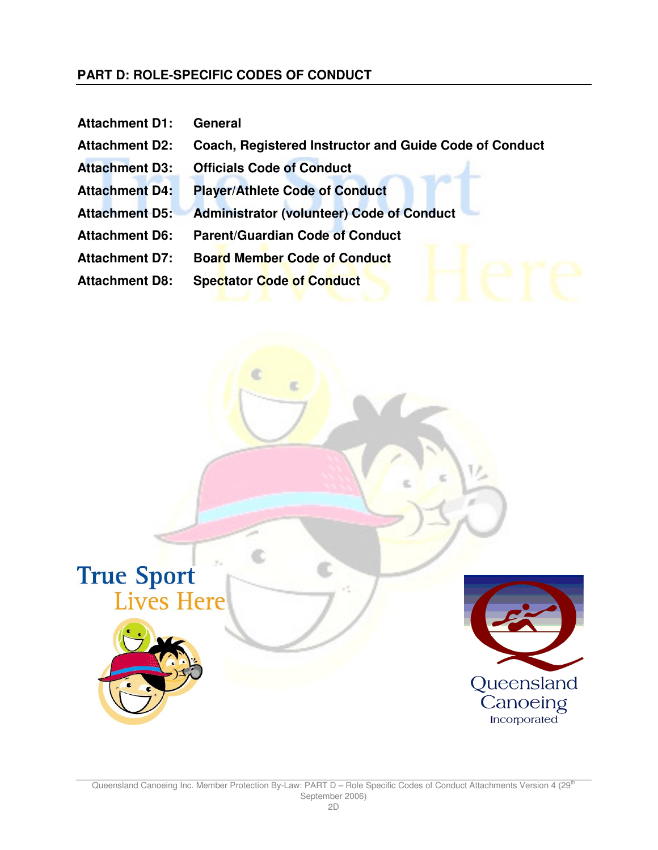#### **PART D: ROLE-SPECIFIC CODES OF CONDUCT**

- **Attachment D1: General**
- **Attachment D2: Coach, Registered Instructor and Guide Code of Conduct**
- **Attachment D3: Officials Code of Conduct**
- **Attachment D4: Player/Athlete Code of Conduct**
- **Attachment D5: Administrator (volunteer) Code of Conduct**
- **Attachment D6: Parent/Guardian Code of Conduct**
- **Attachment D7: Board Member Code of Conduct**
- **Attachment D8: Spectator Code of Conduct**

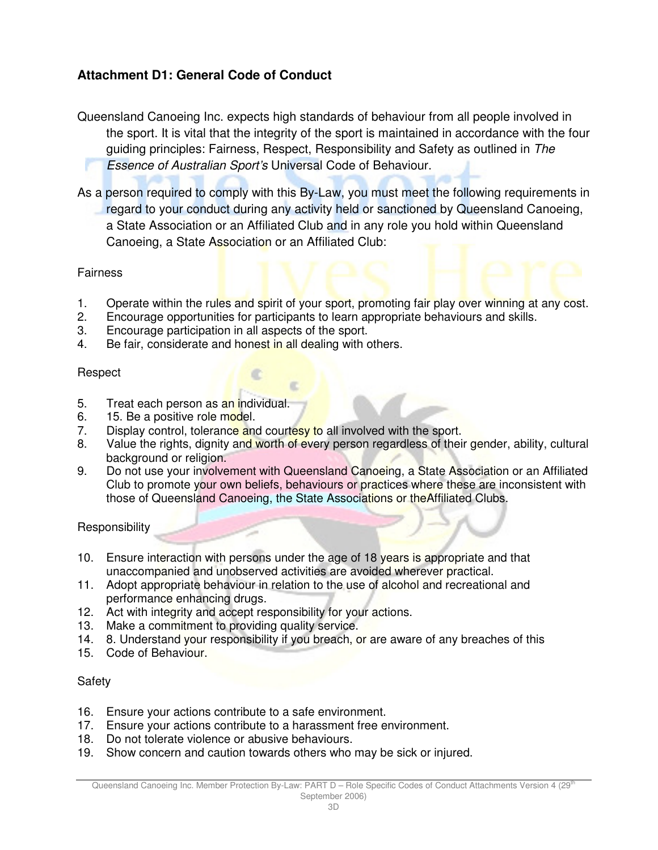### **Attachment D1: General Code of Conduct**

Queensland Canoeing Inc. expects high standards of behaviour from all people involved in the sport. It is vital that the integrity of the sport is maintained in accordance with the four guiding principles: Fairness, Respect, Responsibility and Safety as outlined in The Essence of Australian Sport's Universal Code of Behaviour.

As a person required to comply with this By-Law, you must meet the following requirements in regard to your conduct during any activity held or sanctioned by Queensland Canoeing, a State Association or an Affiliated Club and in any role you hold within Queensland Canoeing, a State Association or an Affiliated Club:

#### **Fairness**

- 1. Operate within the rules and spirit of your sport, promoting fair play over winning at any cost.
- 2. Encourage opportunities for participants to learn appropriate behaviours and skills.
- 3. Encourage participation in all aspects of the sport.
- 4. Be fair, considerate and honest in all dealing with others.

#### Respect

- 5. Treat each person as an individual.
- 6. 15. Be a positive role model.
- 7. Display control, tolerance and courtesy to all involved with the sport.
- 8. Value the rights, dignity and worth of every person regardless of their gender, ability, cultural background or religion.
- 9. Do not use your involvement with Queensland Canoeing, a State Association or an Affiliated Club to promote your own beliefs, behaviours or practices where these are inconsistent with those of Queensland Canoeing, the State Associations or theAffiliated Clubs.

Responsibility

- 10. Ensure interaction with persons under the age of 18 years is appropriate and that unaccompanied and unobserved activities are avoided wherever practical.
- 11. Adopt appropriate behaviour in relation to the use of alcohol and recreational and performance enhancing drugs.
- 12. Act with integrity and accept responsibility for your actions.
- 13. Make a commitment to providing quality service.
- 14. 8. Understand your responsibility if you breach, or are aware of any breaches of this
- 15. Code of Behaviour.

#### Safety

- 16. Ensure your actions contribute to a safe environment.
- 17. Ensure your actions contribute to a harassment free environment.
- 18. Do not tolerate violence or abusive behaviours.
- 19. Show concern and caution towards others who may be sick or injured.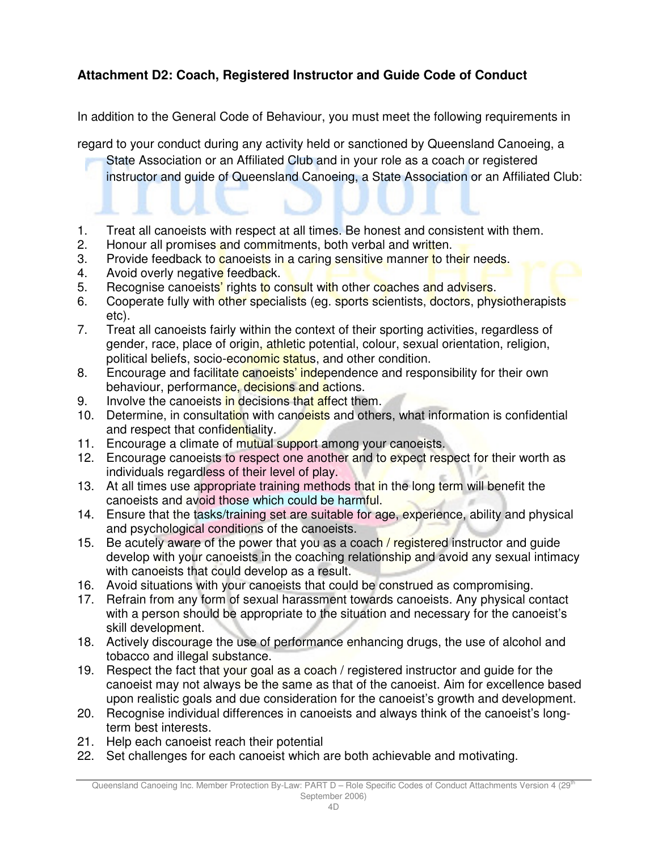# **Attachment D2: Coach, Registered Instructor and Guide Code of Conduct**

In addition to the General Code of Behaviour, you must meet the following requirements in

regard to your conduct during any activity held or sanctioned by Queensland Canoeing, a

State Association or an Affiliated Club and in your role as a coach or registered instructor and guide of Queensland Canoeing, a State Association or an Affiliated Club:

- 1. Treat all canoeists with respect at all times. Be honest and consistent with them.
- 2. Honour all promises and commitments, both verbal and written.
- 3. Provide feedback to canoeists in a caring sensitive manner to their needs.
- 4. Avoid overly negative feedback.
- 5. Recognise canoeists' rights to consult with other coaches and advisers.
- 6. Cooperate fully with other specialists (eg. sports scientists, doctors, physiotherapists etc).
- 7. Treat all canoeists fairly within the context of their sporting activities, regardless of gender, race, place of origin, athletic potential, colour, sexual orientation, religion, political beliefs, socio-economic status, and other condition.
- 8. Encourage and facilitate canoeists' independence and responsibility for their own behaviour, performance, decisions and actions.
- 9. Involve the canoeists in decisions that affect them.
- 10. Determine, in consultation with canoeists and others, what information is confidential and respect that confidentiality.
- 11. Encourage a climate of mutual support among your canoeists.
- 12. Encourage canoeists to respect one another and to expect respect for their worth as individuals regardless of their level of play.
- 13. At all times use appropriate training methods that in the long term will benefit the canoeists and avoid those which could be harmful.
- 14. Ensure that the tasks/training set are suitable for age, experience, ability and physical and psychological conditions of the canoeists.
- 15. Be acutely aware of the power that you as a coach / registered instructor and guide develop with your canoeists in the coaching relationship and avoid any sexual intimacy with canoeists that could develop as a result.
- 16. Avoid situations with your canoeists that could be construed as compromising.
- 17. Refrain from any form of sexual harassment towards canoeists. Any physical contact with a person should be appropriate to the situation and necessary for the canoeist's skill development.
- 18. Actively discourage the use of performance enhancing drugs, the use of alcohol and tobacco and illegal substance.
- 19. Respect the fact that your goal as a coach / registered instructor and guide for the canoeist may not always be the same as that of the canoeist. Aim for excellence based upon realistic goals and due consideration for the canoeist's growth and development.
- 20. Recognise individual differences in canoeists and always think of the canoeist's longterm best interests.
- 21. Help each canoeist reach their potential
- 22. Set challenges for each canoeist which are both achievable and motivating.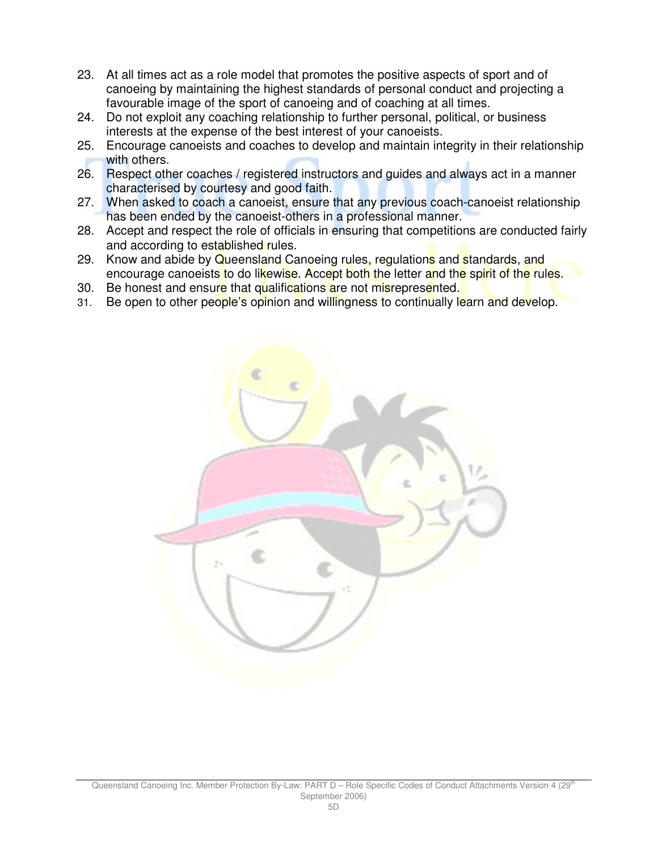- 23. At all times act as a role model that promotes the positive aspects of sport and of canoeing by maintaining the highest standards of personal conduct and projecting a favourable image of the sport of canoeing and of coaching at all times.
- 24. Do not exploit any coaching relationship to further personal, political, or business interests at the expense of the best interest of your canoeists.
- 25. Encourage canoeists and coaches to develop and maintain integrity in their relationship with others.
- 26. Respect other coaches / registered instructors and guides and always act in a manner characterised by courtesy and good faith.
- 27. When asked to coach a canoeist, ensure that any previous coach-canoeist relationship has been ended by the canoeist-others in a professional manner.
- 28. Accept and respect the role of officials in ensuring that competitions are conducted fairly and according to established rules.
- 29. Know and abide by Queensland Canoeing rules, regulations and standards, and encourage canoeists to do likewise. Accept both the letter and the spirit of the rules.
- 30. Be honest and ensure that qualifications are not misrepresented.
- 31. Be open to other people's opinion and willingness to continually learn and develop.

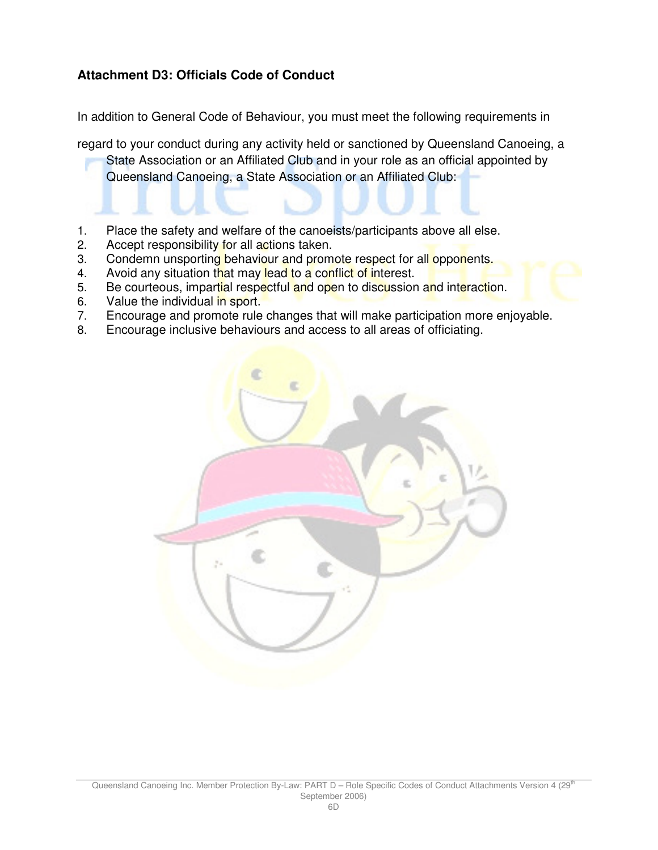### **Attachment D3: Officials Code of Conduct**

In addition to General Code of Behaviour, you must meet the following requirements in

regard to your conduct during any activity held or sanctioned by Queensland Canoeing, a

State Association or an Affiliated Club and in your role as an official appointed by Queensland Canoeing, a State Association or an Affiliated Club:

- 1. Place the safety and welfare of the canoeists/participants above all else.
- 2. Accept responsibility for all actions taken.
- 3. Condemn unsporting behaviour and promote respect for all opponents.
- 4. Avoid any situation that may lead to a conflict of interest.
- 5. Be courteous, impartial respectful and open to discussion and interaction.
- 6. Value the individual in sport.
- 7. Encourage and promote rule changes that will make participation more enjoyable.
- 8. Encourage inclusive behaviours and access to all areas of officiating.

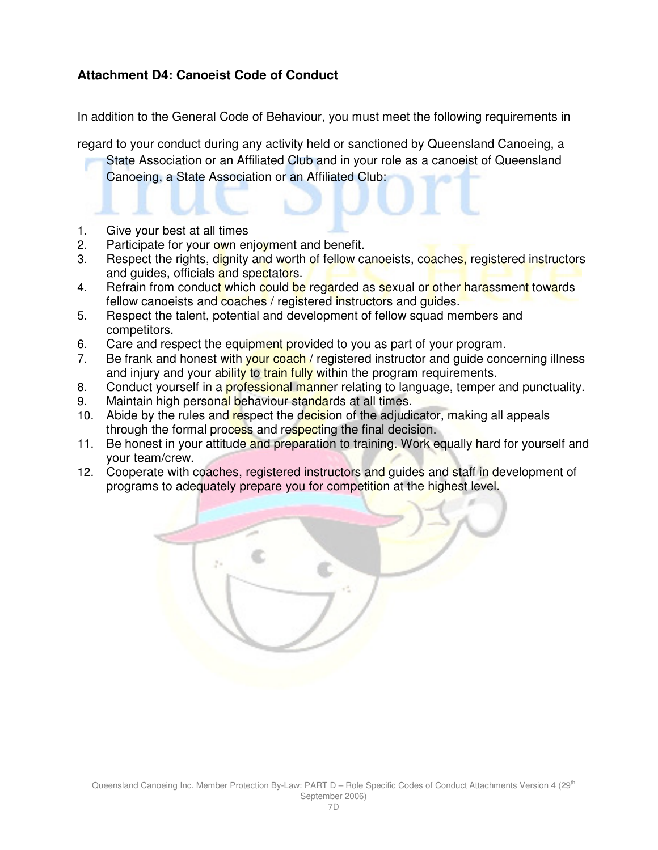### **Attachment D4: Canoeist Code of Conduct**

In addition to the General Code of Behaviour, you must meet the following requirements in

regard to your conduct during any activity held or sanctioned by Queensland Canoeing, a State Association or an Affiliated Club and in your role as a canoeist of Queensland Canoeing, a State Association or an Affiliated Club:

- 1. Give your best at all times
- 2. Participate for your own enjoyment and benefit.
- 3. Respect the rights, dignity and worth of fellow canoeists, coaches, registered instructors and guides, officials and spectators.
- 4. Refrain from conduct which could be regarded as sexual or other harassment towards fellow canoeists and coaches / registered instructors and guides.
- 5. Respect the talent, potential and development of fellow squad members and competitors.
- 6. Care and respect the equipment provided to you as part of your program.
- 7. Be frank and honest with your coach / registered instructor and guide concerning illness and injury and your ability to train fully within the program requirements.
- 8. Conduct yourself in a professional manner relating to language, temper and punctuality. 9. Maintain high personal behaviour standards at all times.
- 10. Abide by the rules and respect the decision of the adjudicator, making all appeals through the formal process and respecting the final decision.
- 11. Be honest in your attitude and preparation to training. Work equally hard for yourself and your team/crew.
- 12. Cooperate with coaches, registered instructors and guides and staff in development of programs to adequately prepare you for competition at the highest level.

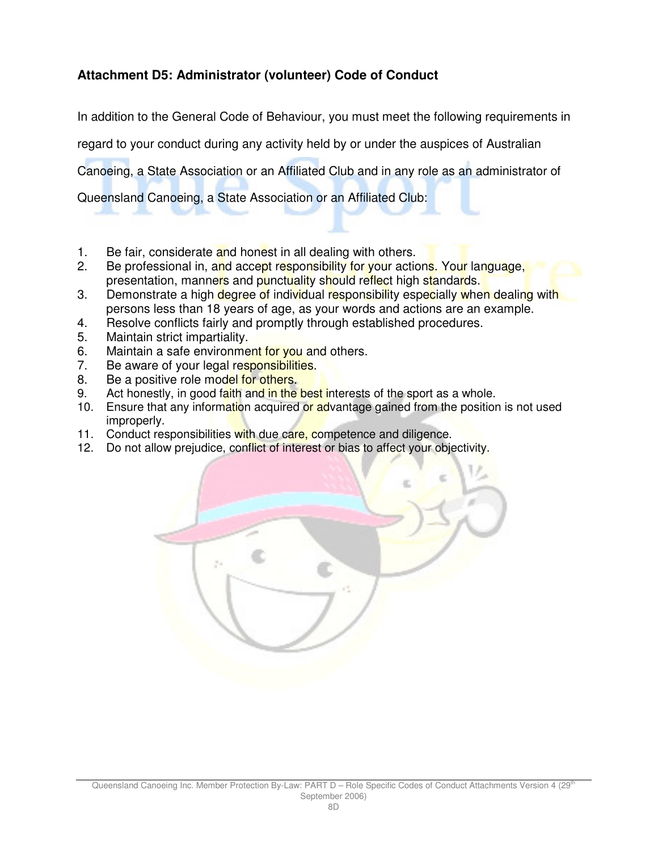## **Attachment D5: Administrator (volunteer) Code of Conduct**

In addition to the General Code of Behaviour, you must meet the following requirements in

regard to your conduct during any activity held by or under the auspices of Australian

Canoeing, a State Association or an Affiliated Club and in any role as an administrator of

Queensland Canoeing, a State Association or an Affiliated Club:

- 1. Be fair, considerate and honest in all dealing with others.
- 2. Be professional in, and accept responsibility for your actions. Your language, presentation, manners and punctuality should reflect high standards.
- 3. Demonstrate a high degree of individual responsibility especially when dealing with persons less than 18 years of age, as your words and actions are an example.
- 4. Resolve conflicts fairly and promptly through established procedures.
- 5. Maintain strict impartiality.
- 6. Maintain a safe environment for you and others.
- 7. Be aware of your legal responsibilities.
- 8. Be a positive role model for others.
- 9. Act honestly, in good faith and in the best interests of the sport as a whole.
- 10. Ensure that any information acquired or advantage gained from the position is not used improperly.
- 11. Conduct responsibilities with due care, competence and diligence.
- 12. Do not allow prejudice, conflict of interest or bias to affect your objectivity.

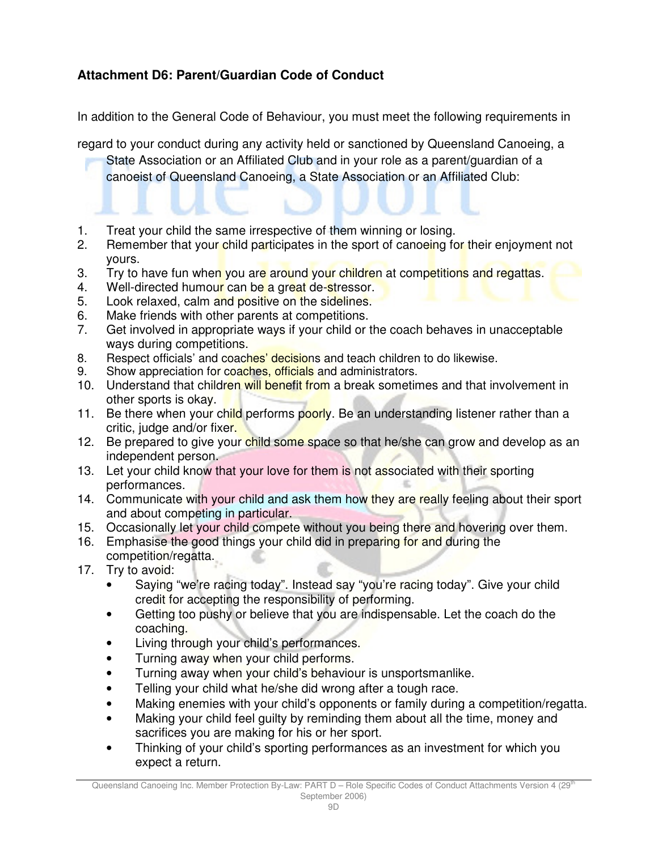## **Attachment D6: Parent/Guardian Code of Conduct**

In addition to the General Code of Behaviour, you must meet the following requirements in

regard to your conduct during any activity held or sanctioned by Queensland Canoeing, a

State Association or an Affiliated Club and in your role as a parent/guardian of a canoeist of Queensland Canoeing, a State Association or an Affiliated Club:

- 1. Treat your child the same irrespective of them winning or losing.
- 2. Remember that your child participates in the sport of canoeing for their enjoyment not yours.
- 3. Try to have fun when you are around your children at competitions and regattas.
- 4. Well-directed humour can be a great de-stressor.
- 5. Look relaxed, calm and positive on the sidelines.
- 6. Make friends with other parents at competitions.
- 7. Get involved in appropriate ways if your child or the coach behaves in unacceptable ways during competitions.
- 8. Respect officials' and coaches' decisions and teach children to do likewise.
- 9. Show appreciation for coaches, officials and administrators.
- 10. Understand that children will benefit from a break sometimes and that involvement in other sports is okay.
- 11. Be there when your child performs poorly. Be an understanding listener rather than a critic, judge and/or fixer.
- 12. Be prepared to give your child some space so that he/she can grow and develop as an independent person.
- 13. Let your child know that your love for them is not associated with their sporting performances.
- 14. Communicate with your child and ask them how they are really feeling about their sport and about competing in particular.
- 15. Occasionally let your child compete without you being there and hovering over them.
- 16. Emphasise the good things your child did in preparing for and during the competition/regatta.
- 17. Try to avoid:
	- Saying "we're racing today". Instead say "you're racing today". Give your child credit for accepting the responsibility of performing.
	- Getting too pushy or believe that you are indispensable. Let the coach do the coaching.
	- Living through your child's performances.
	- Turning away when your child performs.
	- Turning away when your child's behaviour is unsportsmanlike.
	- Telling your child what he/she did wrong after a tough race.
	- Making enemies with your child's opponents or family during a competition/regatta.
	- Making your child feel guilty by reminding them about all the time, money and sacrifices you are making for his or her sport.
	- Thinking of your child's sporting performances as an investment for which you expect a return.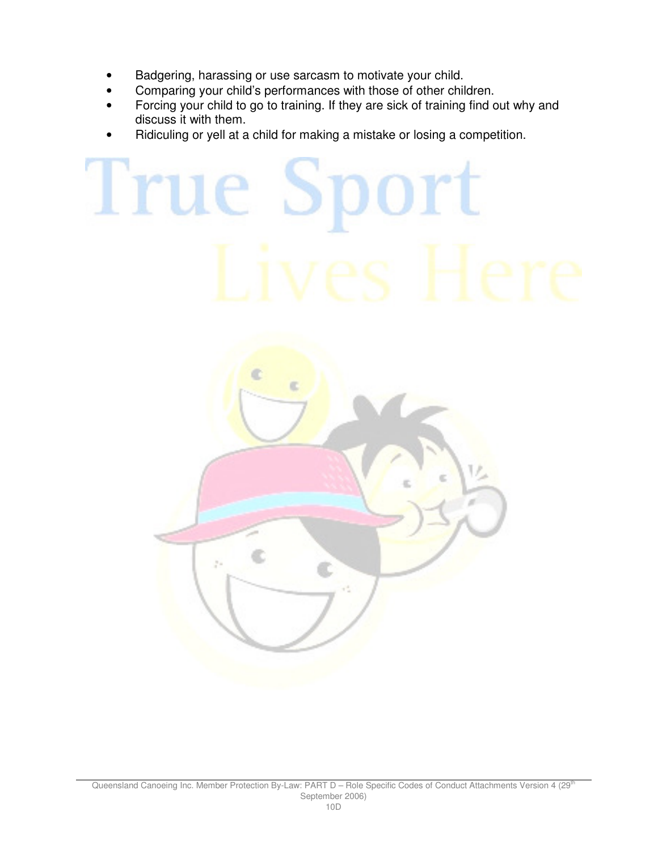- Badgering, harassing or use sarcasm to motivate your child.
- Comparing your child's performances with those of other children.
- Forcing your child to go to training. If they are sick of training find out why and discuss it with them.
- Ridiculing or yell at a child for making a mistake or losing a competition.